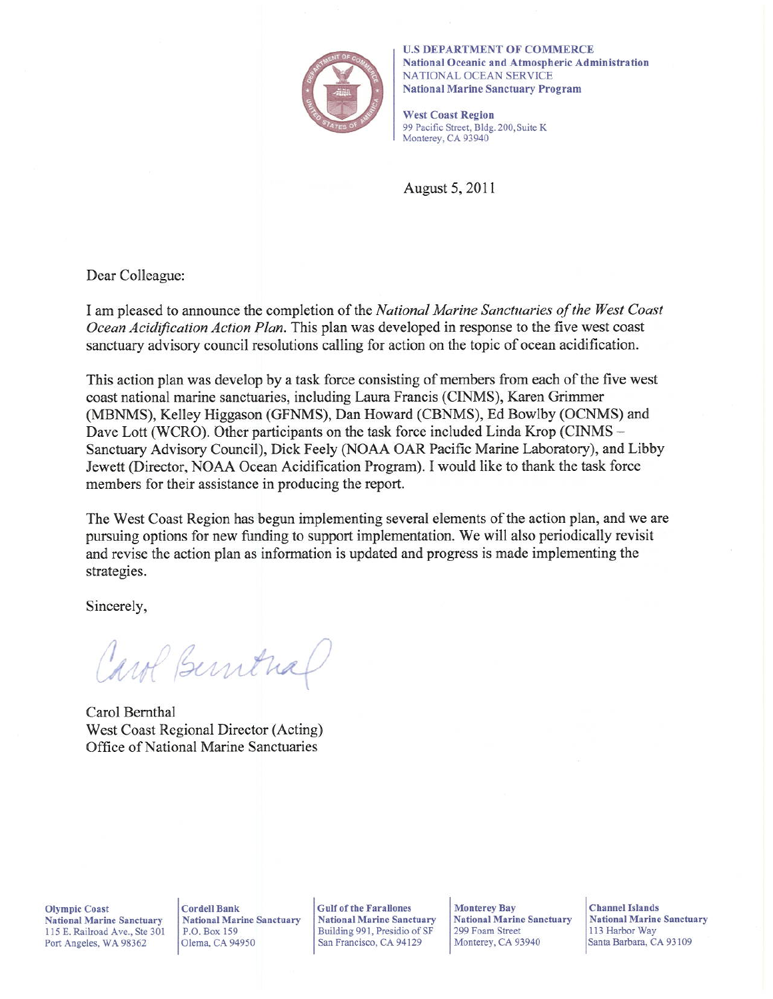

**U.S DEPARTMENT OF COMMERCE** National Oceanic and Atmospheric Administration NATIONAL OCEAN SERVICE **National Marine Sanctuary Program** 

**West Coast Region** 99 Pacific Street, Bldg. 200, Suite K Monterey, CA 93940

August 5, 2011

Dear Colleague:

I am pleased to announce the completion of the National Marine Sanctuaries of the West Coast Ocean Acidification Action Plan. This plan was developed in response to the five west coast sanctuary advisory council resolutions calling for action on the topic of ocean acidification.

This action plan was develop by a task force consisting of members from each of the five west coast national marine sanctuaries, including Laura Francis (CINMS), Karen Grimmer (MBNMS), Kelley Higgason (GFNMS), Dan Howard (CBNMS), Ed Bowlby (OCNMS) and Dave Lott (WCRO). Other participants on the task force included Linda Krop (CINMS – Sanctuary Advisory Council), Dick Feely (NOAA OAR Pacific Marine Laboratory), and Libby Jewett (Director, NOAA Ocean Acidification Program). I would like to thank the task force members for their assistance in producing the report.

The West Coast Region has begun implementing several elements of the action plan, and we are pursuing options for new funding to support implementation. We will also periodically revisit and revise the action plan as information is updated and progress is made implementing the strategies.

Sincerely,

Carol Berntral

Carol Bernthal West Coast Regional Director (Acting) Office of National Marine Sanctuaries

**Olympic Coast National Marine Sanctuary** 115 E. Railroad Ave., Ste 301 Port Angeles, WA 98362

**Cordell Bank National Marine Sanctuary** P.O. Box 159 Olema, CA 94950

**Gulf of the Farallones National Marine Sanctuary** Building 991, Presidio of SF San Francisco, CA 94129

**Monterey Bay National Marine Sanctuary** 299 Foam Street Monterey, CA 93940

**Channel Islands National Marine Sanctuary** 113 Harbor Way Santa Barbara, CA 93109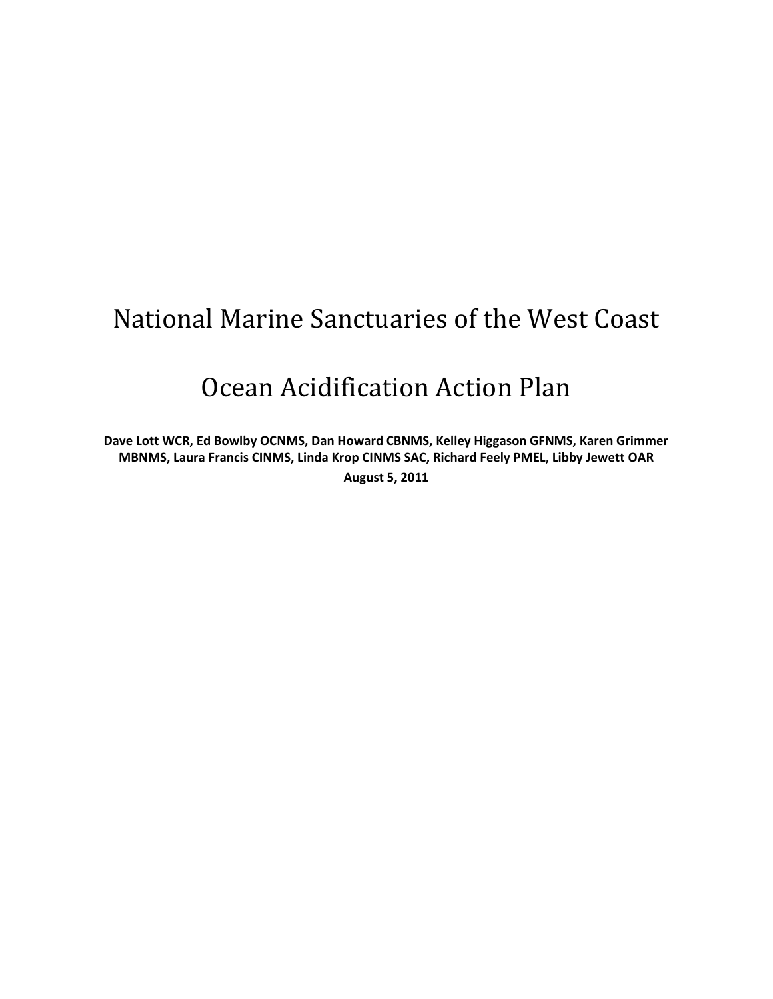# National Marine Sanctuaries of the West Coast

# Ocean Acidification Action Plan

**Dave Lott WCR, Ed Bowlby OCNMS, Dan Howard CBNMS, Kelley Higgason GFNMS, Karen Grimmer MBNMS, Laura Francis CINMS, Linda Krop CINMS SAC, Richard Feely PMEL, Libby Jewett OAR August 5, 2011**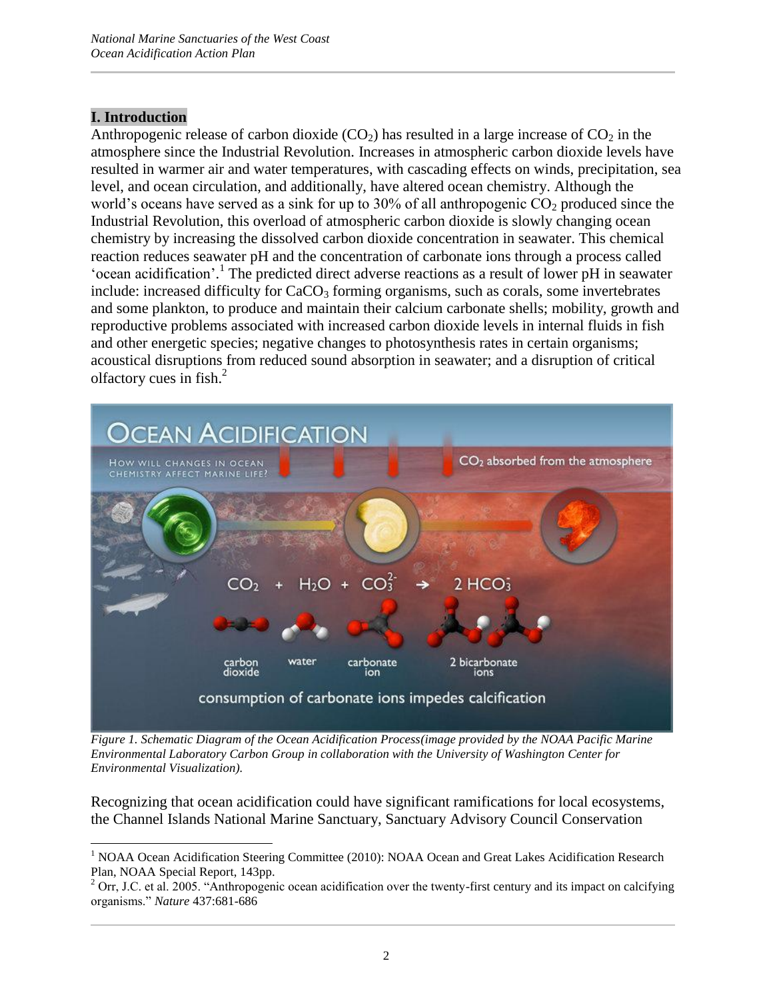## **I. Introduction**

 $\overline{\phantom{a}}$ 

Anthropogenic release of carbon dioxide  $(CO<sub>2</sub>)$  has resulted in a large increase of  $CO<sub>2</sub>$  in the atmosphere since the Industrial Revolution. Increases in atmospheric carbon dioxide levels have resulted in warmer air and water temperatures, with cascading effects on winds, precipitation, sea level, and ocean circulation, and additionally, have altered ocean chemistry. Although the world's oceans have served as a sink for up to 30% of all anthropogenic  $CO<sub>2</sub>$  produced since the Industrial Revolution, this overload of atmospheric carbon dioxide is slowly changing ocean chemistry by increasing the dissolved carbon dioxide concentration in seawater. This chemical reaction reduces seawater pH and the concentration of carbonate ions through a process called 'ocean acidification'.<sup>1</sup> The predicted direct adverse reactions as a result of lower pH in seawater include: increased difficulty for CaCO<sub>3</sub> forming organisms, such as corals, some invertebrates and some plankton, to produce and maintain their calcium carbonate shells; mobility, growth and reproductive problems associated with increased carbon dioxide levels in internal fluids in fish and other energetic species; negative changes to photosynthesis rates in certain organisms; acoustical disruptions from reduced sound absorption in seawater; and a disruption of critical olfactory cues in fish. 2



*Figure 1. Schematic Diagram of the Ocean Acidification Process(image provided by the NOAA Pacific Marine Environmental Laboratory Carbon Group in collaboration with the University of Washington Center for Environmental Visualization).*

Recognizing that ocean acidification could have significant ramifications for local ecosystems, the Channel Islands National Marine Sanctuary, Sanctuary Advisory Council Conservation

<sup>&</sup>lt;sup>1</sup> NOAA Ocean Acidification Steering Committee (2010): NOAA Ocean and Great Lakes Acidification Research Plan, NOAA Special Report, 143pp.

<sup>&</sup>lt;sup>2</sup> Orr, J.C. et al. 2005. "Anthropogenic ocean acidification over the twenty-first century and its impact on calcifying organisms." *Nature* 437:681-686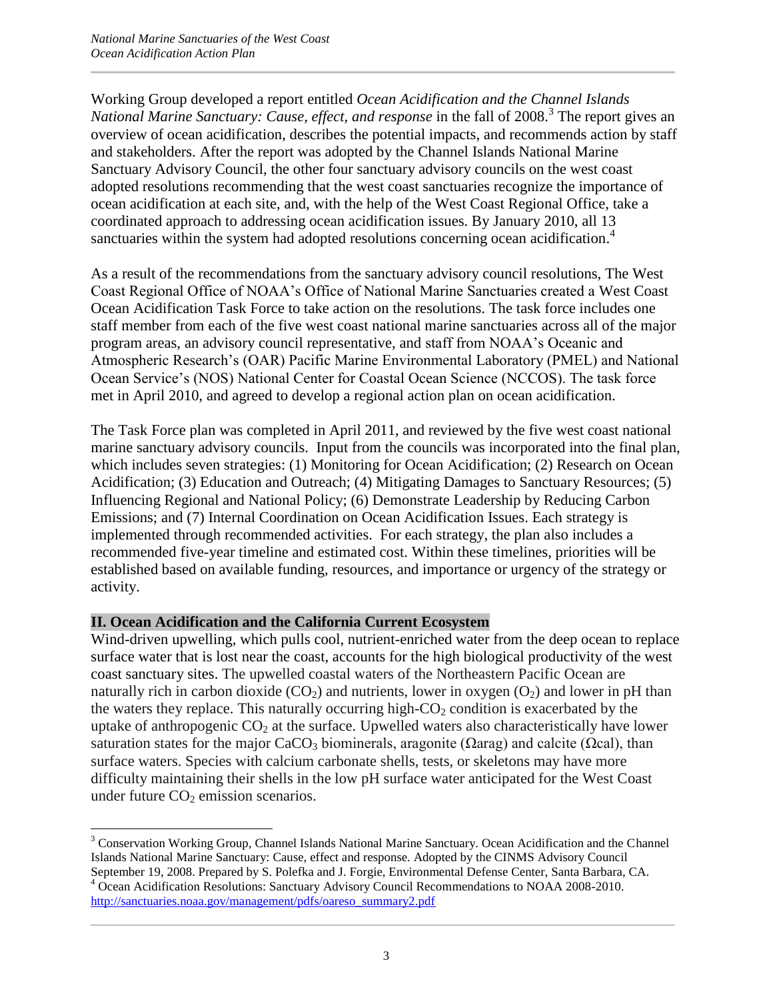Working Group developed a report entitled *Ocean Acidification and the Channel Islands*  National Marine Sanctuary: Cause, effect, and response in the fall of 2008.<sup>3</sup> The report gives an overview of ocean acidification, describes the potential impacts, and recommends action by staff and stakeholders. After the report was adopted by the Channel Islands National Marine Sanctuary Advisory Council, the other four sanctuary advisory councils on the west coast adopted resolutions recommending that the west coast sanctuaries recognize the importance of ocean acidification at each site, and, with the help of the West Coast Regional Office, take a coordinated approach to addressing ocean acidification issues. By January 2010, all 13 sanctuaries within the system had adopted resolutions concerning ocean acidification.<sup>4</sup>

As a result of the recommendations from the sanctuary advisory council resolutions, The West Coast Regional Office of NOAA"s Office of National Marine Sanctuaries created a West Coast Ocean Acidification Task Force to take action on the resolutions. The task force includes one staff member from each of the five west coast national marine sanctuaries across all of the major program areas, an advisory council representative, and staff from NOAA"s Oceanic and Atmospheric Research"s (OAR) Pacific Marine Environmental Laboratory (PMEL) and National Ocean Service"s (NOS) National Center for Coastal Ocean Science (NCCOS). The task force met in April 2010, and agreed to develop a regional action plan on ocean acidification.

The Task Force plan was completed in April 2011, and reviewed by the five west coast national marine sanctuary advisory councils. Input from the councils was incorporated into the final plan, which includes seven strategies: (1) Monitoring for Ocean Acidification; (2) Research on Ocean Acidification; (3) Education and Outreach; (4) Mitigating Damages to Sanctuary Resources; (5) Influencing Regional and National Policy; (6) Demonstrate Leadership by Reducing Carbon Emissions; and (7) Internal Coordination on Ocean Acidification Issues. Each strategy is implemented through recommended activities. For each strategy, the plan also includes a recommended five-year timeline and estimated cost. Within these timelines, priorities will be established based on available funding, resources, and importance or urgency of the strategy or activity.

## **II. Ocean Acidification and the California Current Ecosystem**

Wind-driven upwelling, which pulls cool, nutrient-enriched water from the deep ocean to replace surface water that is lost near the coast, accounts for the high biological productivity of the west coast sanctuary sites. The upwelled coastal waters of the Northeastern Pacific Ocean are naturally rich in carbon dioxide  $(CO_2)$  and nutrients, lower in oxygen  $(O_2)$  and lower in pH than the waters they replace. This naturally occurring high- $CO<sub>2</sub>$  condition is exacerbated by the uptake of anthropogenic  $CO<sub>2</sub>$  at the surface. Upwelled waters also characteristically have lower saturation states for the major CaCO<sub>3</sub> biominerals, aragonite ( $\Omega$ arag) and calcite ( $\Omega$ cal), than surface waters. Species with calcium carbonate shells, tests, or skeletons may have more difficulty maintaining their shells in the low pH surface water anticipated for the West Coast under future  $CO<sub>2</sub>$  emission scenarios.

 $\overline{\phantom{a}}$ <sup>3</sup> Conservation Working Group, Channel Islands National Marine Sanctuary. Ocean Acidification and the Channel Islands National Marine Sanctuary: Cause, effect and response. Adopted by the CINMS Advisory Council September 19, 2008. Prepared by S. Polefka and J. Forgie, Environmental Defense Center, Santa Barbara, CA. <sup>4</sup> Ocean Acidification Resolutions: Sanctuary Advisory Council Recommendations to NOAA 2008-2010. [http://sanctuaries.noaa.gov/management/pdfs/oareso\\_summary2.pdf](http://sanctuaries.noaa.gov/management/pdfs/oareso_summary2.pdf)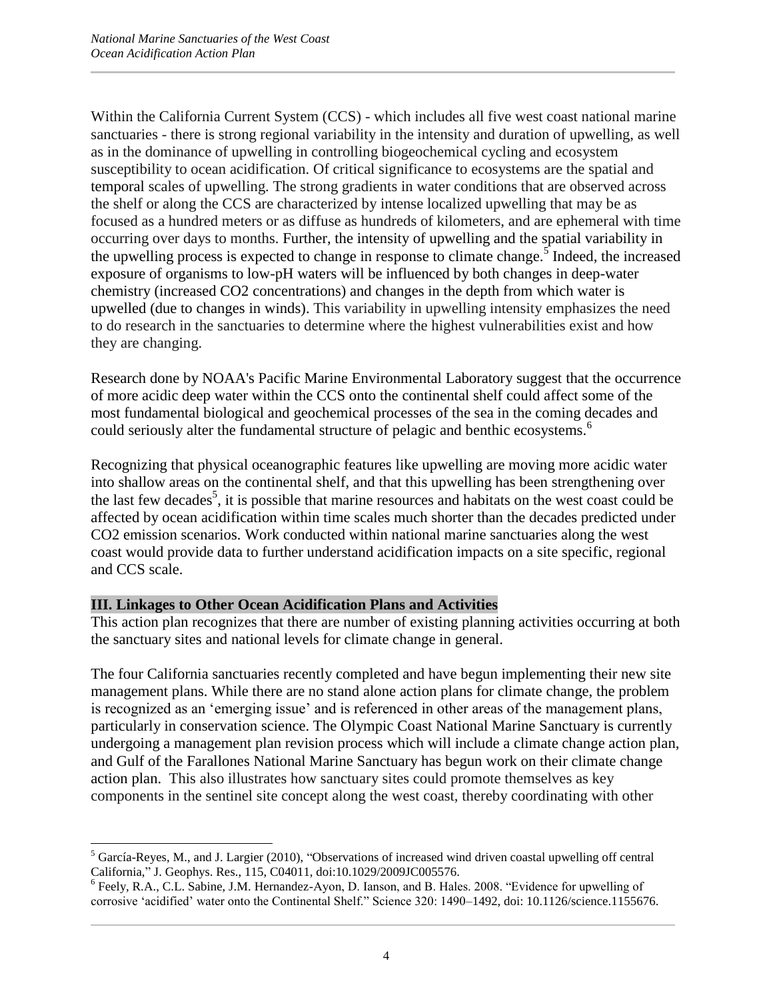Within the California Current System (CCS) - which includes all five west coast national marine sanctuaries - there is strong regional variability in the intensity and duration of upwelling, as well as in the dominance of upwelling in controlling biogeochemical cycling and ecosystem susceptibility to ocean acidification. Of critical significance to ecosystems are the spatial and temporal scales of upwelling. The strong gradients in water conditions that are observed across the shelf or along the CCS are characterized by intense localized upwelling that may be as focused as a hundred meters or as diffuse as hundreds of kilometers, and are ephemeral with time occurring over days to months. Further, the intensity of upwelling and the spatial variability in the upwelling process is expected to change in response to climate change.<sup>5</sup> Indeed, the increased exposure of organisms to low-pH waters will be influenced by both changes in deep-water chemistry (increased CO2 concentrations) and changes in the depth from which water is upwelled (due to changes in winds). This variability in upwelling intensity emphasizes the need to do research in the sanctuaries to determine where the highest vulnerabilities exist and how they are changing.

Research done by NOAA's Pacific Marine Environmental Laboratory suggest that the occurrence of more acidic deep water within the CCS onto the continental shelf could affect some of the most fundamental biological and geochemical processes of the sea in the coming decades and could seriously alter the fundamental structure of pelagic and benthic ecosystems.<sup>6</sup>

Recognizing that physical oceanographic features like upwelling are moving more acidic water into shallow areas on the continental shelf, and that this upwelling has been strengthening over the last few decades<sup>5</sup>, it is possible that marine resources and habitats on the west coast could be affected by ocean acidification within time scales much shorter than the decades predicted under CO2 emission scenarios. Work conducted within national marine sanctuaries along the west coast would provide data to further understand acidification impacts on a site specific, regional and CCS scale.

## **III. Linkages to Other Ocean Acidification Plans and Activities**

This action plan recognizes that there are number of existing planning activities occurring at both the sanctuary sites and national levels for climate change in general.

The four California sanctuaries recently completed and have begun implementing their new site management plans. While there are no stand alone action plans for climate change, the problem is recognized as an "emerging issue" and is referenced in other areas of the management plans, particularly in conservation science. The Olympic Coast National Marine Sanctuary is currently undergoing a management plan revision process which will include a climate change action plan, and Gulf of the Farallones National Marine Sanctuary has begun work on their climate change action plan. This also illustrates how sanctuary sites could promote themselves as key components in the sentinel site concept along the west coast, thereby coordinating with other

 $\overline{\phantom{a}}$ <sup>5</sup> García-Reyes, M., and J. Largier (2010), "Observations of increased wind driven coastal upwelling off central California," J. Geophys. Res., 115, C04011, doi:10.1029/2009JC005576.

<sup>&</sup>lt;sup>6</sup> Feely, R.A., C.L. Sabine, J.M. Hernandez-Ayon, D. Ianson, and B. Hales. 2008. "Evidence for upwelling of corrosive "acidified" water onto the Continental Shelf." Science 320: 1490–1492, doi: 10.1126/science.1155676.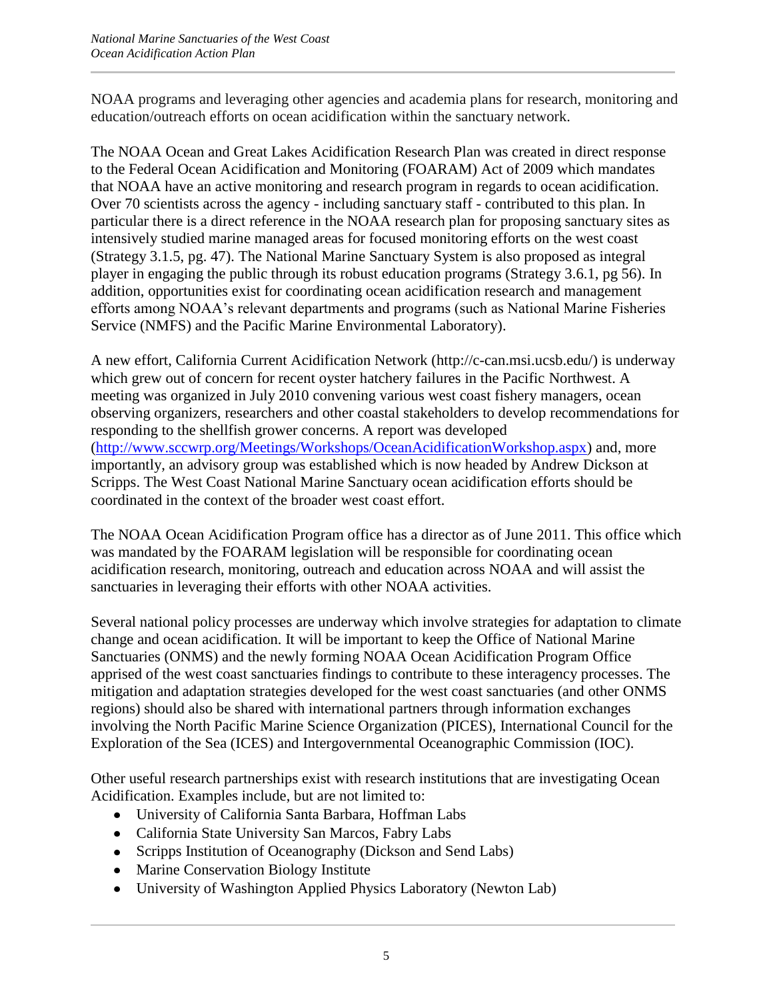NOAA programs and leveraging other agencies and academia plans for research, monitoring and education/outreach efforts on ocean acidification within the sanctuary network.

The NOAA Ocean and Great Lakes Acidification Research Plan was created in direct response to the Federal Ocean Acidification and Monitoring (FOARAM) Act of 2009 which mandates that NOAA have an active monitoring and research program in regards to ocean acidification. Over 70 scientists across the agency - including sanctuary staff - contributed to this plan. In particular there is a direct reference in the NOAA research plan for proposing sanctuary sites as intensively studied marine managed areas for focused monitoring efforts on the west coast (Strategy 3.1.5, pg. 47). The National Marine Sanctuary System is also proposed as integral player in engaging the public through its robust education programs (Strategy 3.6.1, pg 56). In addition, opportunities exist for coordinating ocean acidification research and management efforts among NOAA"s relevant departments and programs (such as National Marine Fisheries Service (NMFS) and the Pacific Marine Environmental Laboratory).

A new effort, California Current Acidification Network (http://c-can.msi.ucsb.edu/) is underway which grew out of concern for recent oyster hatchery failures in the Pacific Northwest. A meeting was organized in July 2010 convening various west coast fishery managers, ocean observing organizers, researchers and other coastal stakeholders to develop recommendations for responding to the shellfish grower concerns. A report was developed [\(http://www.sccwrp.org/Meetings/Workshops/OceanAcidificationWorkshop.aspx\)](http://www.sccwrp.org/Meetings/Workshops/OceanAcidificationWorkshop.aspx) and, more importantly, an advisory group was established which is now headed by Andrew Dickson at Scripps. The West Coast National Marine Sanctuary ocean acidification efforts should be coordinated in the context of the broader west coast effort.

The NOAA Ocean Acidification Program office has a director as of June 2011. This office which was mandated by the FOARAM legislation will be responsible for coordinating ocean acidification research, monitoring, outreach and education across NOAA and will assist the sanctuaries in leveraging their efforts with other NOAA activities.

Several national policy processes are underway which involve strategies for adaptation to climate change and ocean acidification. It will be important to keep the Office of National Marine Sanctuaries (ONMS) and the newly forming NOAA Ocean Acidification Program Office apprised of the west coast sanctuaries findings to contribute to these interagency processes. The mitigation and adaptation strategies developed for the west coast sanctuaries (and other ONMS regions) should also be shared with international partners through information exchanges involving the North Pacific Marine Science Organization (PICES), International Council for the Exploration of the Sea (ICES) and Intergovernmental Oceanographic Commission (IOC).

Other useful research partnerships exist with research institutions that are investigating Ocean Acidification. Examples include, but are not limited to:

- University of California Santa Barbara, Hoffman Labs
- California State University San Marcos, Fabry Labs
- Scripps Institution of Oceanography (Dickson and Send Labs)
- Marine Conservation Biology Institute
- University of Washington Applied Physics Laboratory (Newton Lab)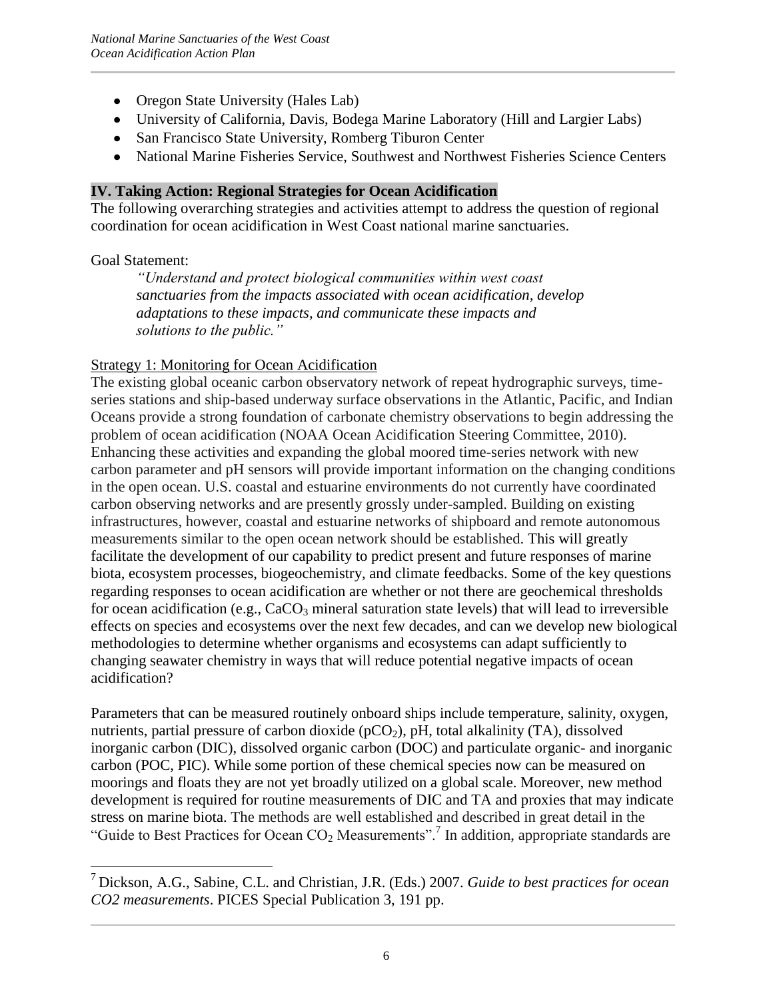- Oregon State University (Hales Lab)
- University of California, Davis, Bodega Marine Laboratory (Hill and Largier Labs)
- San Francisco State University, Romberg Tiburon Center
- National Marine Fisheries Service, Southwest and Northwest Fisheries Science Centers

#### **IV. Taking Action: Regional Strategies for Ocean Acidification**

The following overarching strategies and activities attempt to address the question of regional coordination for ocean acidification in West Coast national marine sanctuaries.

#### Goal Statement:

 $\overline{\phantom{a}}$ 

*"Understand and protect biological communities within west coast sanctuaries from the impacts associated with ocean acidification, develop adaptations to these impacts, and communicate these impacts and solutions to the public."*

#### Strategy 1: Monitoring for Ocean Acidification

The existing global oceanic carbon observatory network of repeat hydrographic surveys, timeseries stations and ship-based underway surface observations in the Atlantic, Pacific, and Indian Oceans provide a strong foundation of carbonate chemistry observations to begin addressing the problem of ocean acidification (NOAA Ocean Acidification Steering Committee, 2010). Enhancing these activities and expanding the global moored time-series network with new carbon parameter and pH sensors will provide important information on the changing conditions in the open ocean. U.S. coastal and estuarine environments do not currently have coordinated carbon observing networks and are presently grossly under-sampled. Building on existing infrastructures, however, coastal and estuarine networks of shipboard and remote autonomous measurements similar to the open ocean network should be established. This will greatly facilitate the development of our capability to predict present and future responses of marine biota, ecosystem processes, biogeochemistry, and climate feedbacks. Some of the key questions regarding responses to ocean acidification are whether or not there are geochemical thresholds for ocean acidification (e.g.,  $CaCO<sub>3</sub>$  mineral saturation state levels) that will lead to irreversible effects on species and ecosystems over the next few decades, and can we develop new biological methodologies to determine whether organisms and ecosystems can adapt sufficiently to changing seawater chemistry in ways that will reduce potential negative impacts of ocean acidification?

Parameters that can be measured routinely onboard ships include temperature, salinity, oxygen, nutrients, partial pressure of carbon dioxide  $(pCO<sub>2</sub>)$ , pH, total alkalinity (TA), dissolved inorganic carbon (DIC), dissolved organic carbon (DOC) and particulate organic- and inorganic carbon (POC, PIC). While some portion of these chemical species now can be measured on moorings and floats they are not yet broadly utilized on a global scale. Moreover, new method development is required for routine measurements of DIC and TA and proxies that may indicate stress on marine biota. The methods are well established and described in great detail in the "Guide to Best Practices for Ocean  $CO<sub>2</sub>$  Measurements".<sup>7</sup> In addition, appropriate standards are

<sup>7</sup> [Dickson, A.G., Sabine, C.L. and Christian, J.R. \(Eds.\) 2007.](http://cdiac.ornl.gov/ftp/oceans/Handbook_2007/Guide_all_in_one.pdf) *Guide to best practices for ocean CO2 measurements*[. PICES Special Publication 3, 191 pp.](http://cdiac.ornl.gov/ftp/oceans/Handbook_2007/Guide_all_in_one.pdf)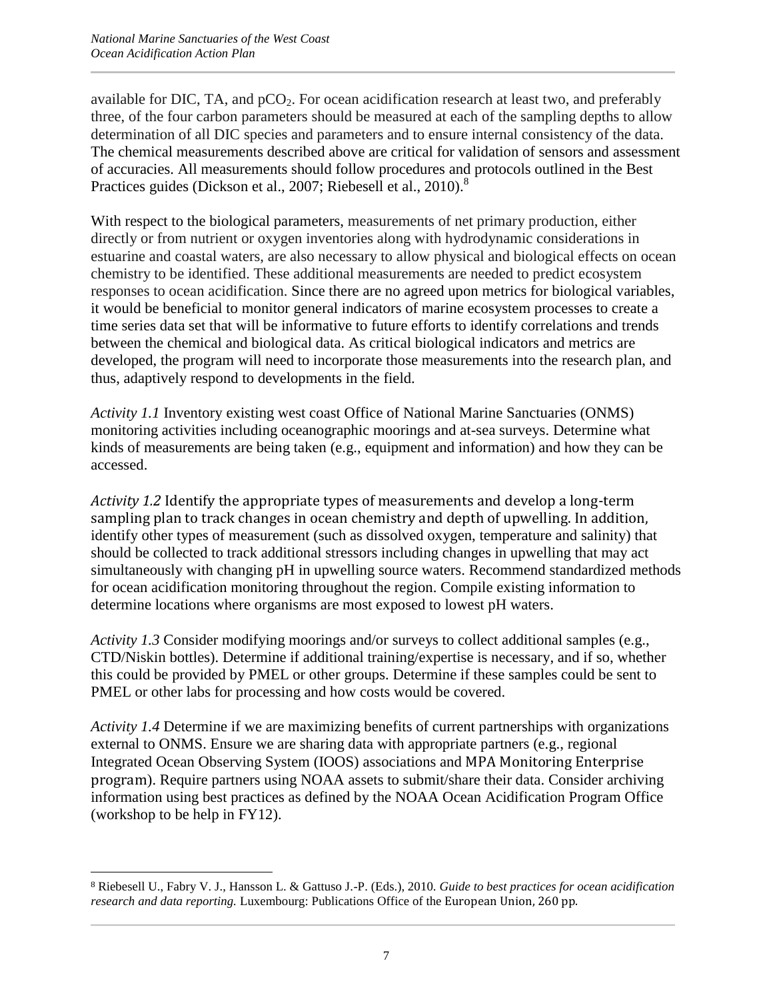available for DIC, TA, and  $pCO<sub>2</sub>$ . For ocean acidification research at least two, and preferably three, of the four carbon parameters should be measured at each of the sampling depths to allow determination of all DIC species and parameters and to ensure internal consistency of the data. The chemical measurements described above are critical for validation of sensors and assessment of accuracies. All measurements should follow procedures and protocols outlined in the Best Practices guides (Dickson et al., 2007; Riebesell et al., 2010).<sup>8</sup>

With respect to the biological parameters, measurements of net primary production, either directly or from nutrient or oxygen inventories along with hydrodynamic considerations in estuarine and coastal waters, are also necessary to allow physical and biological effects on ocean chemistry to be identified. These additional measurements are needed to predict ecosystem responses to ocean acidification. Since there are no agreed upon metrics for biological variables, it would be beneficial to monitor general indicators of marine ecosystem processes to create a time series data set that will be informative to future efforts to identify correlations and trends between the chemical and biological data. As critical biological indicators and metrics are developed, the program will need to incorporate those measurements into the research plan, and thus, adaptively respond to developments in the field.

*Activity 1.1* Inventory existing west coast Office of National Marine Sanctuaries (ONMS) monitoring activities including oceanographic moorings and at-sea surveys. Determine what kinds of measurements are being taken (e.g., equipment and information) and how they can be accessed.

*Activity 1.2* Identify the appropriate types of measurements and develop a long-term sampling plan to track changes in ocean chemistry and depth of upwelling. In addition, identify other types of measurement (such as dissolved oxygen, temperature and salinity) that should be collected to track additional stressors including changes in upwelling that may act simultaneously with changing pH in upwelling source waters. Recommend standardized methods for ocean acidification monitoring throughout the region. Compile existing information to determine locations where organisms are most exposed to lowest pH waters.

*Activity 1.3* Consider modifying moorings and/or surveys to collect additional samples (e.g., CTD/Niskin bottles). Determine if additional training/expertise is necessary, and if so, whether this could be provided by PMEL or other groups. Determine if these samples could be sent to PMEL or other labs for processing and how costs would be covered.

*Activity 1.4* Determine if we are maximizing benefits of current partnerships with organizations external to ONMS. Ensure we are sharing data with appropriate partners (e.g., regional Integrated Ocean Observing System (IOOS) associations and MPA Monitoring Enterprise program). Require partners using NOAA assets to submit/share their data. Consider archiving information using best practices as defined by the NOAA Ocean Acidification Program Office (workshop to be help in FY12).

 $\overline{\phantom{a}}$ <sup>8</sup> Riebesell U., Fabry V. J., Hansson L. & Gattuso J.-P. (Eds.), 2010. *Guide to best practices for ocean acidification research and data reporting.* Luxembourg: Publications Office of the European Union, 260 pp.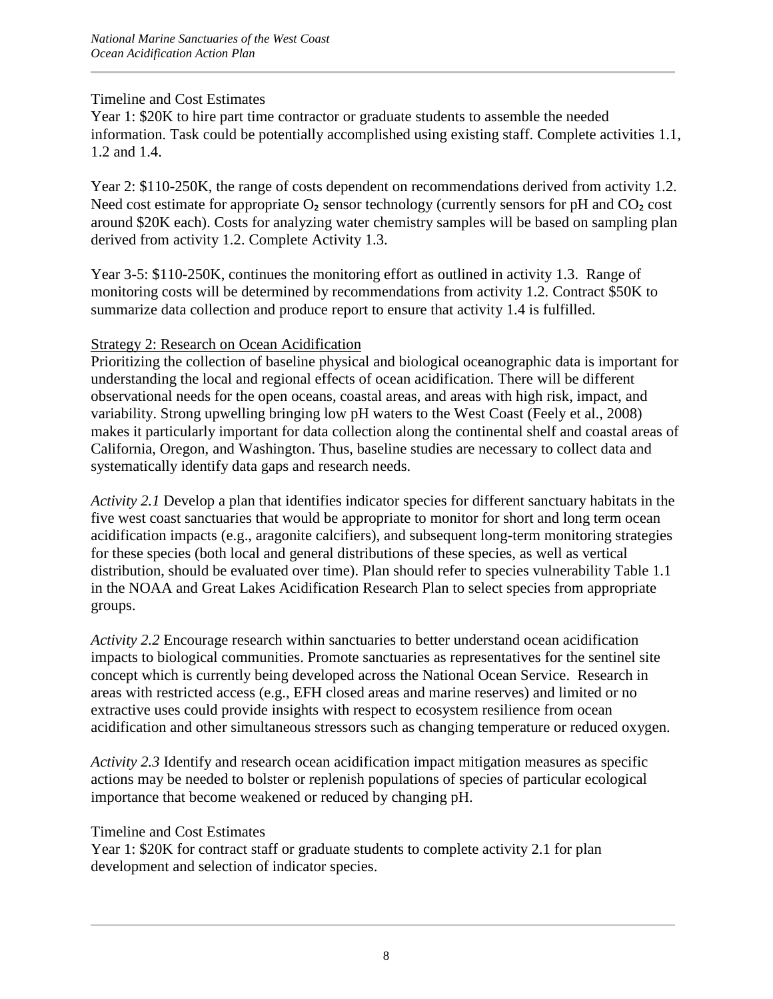Year 1: \$20K to hire part time contractor or graduate students to assemble the needed information. Task could be potentially accomplished using existing staff. Complete activities 1.1, 1.2 and 1.4.

Year 2: \$110-250K, the range of costs dependent on recommendations derived from activity 1.2. Need cost estimate for appropriate  $O_2$  sensor technology (currently sensors for pH and  $CO_2$  cost around \$20K each). Costs for analyzing water chemistry samples will be based on sampling plan derived from activity 1.2. Complete Activity 1.3.

Year 3-5: \$110-250K, continues the monitoring effort as outlined in activity 1.3. Range of monitoring costs will be determined by recommendations from activity 1.2. Contract \$50K to summarize data collection and produce report to ensure that activity 1.4 is fulfilled.

## Strategy 2: Research on Ocean Acidification

Prioritizing the collection of baseline physical and biological oceanographic data is important for understanding the local and regional effects of ocean acidification. There will be different observational needs for the open oceans, coastal areas, and areas with high risk, impact, and variability. Strong upwelling bringing low pH waters to the West Coast (Feely et al., 2008) makes it particularly important for data collection along the continental shelf and coastal areas of California, Oregon, and Washington. Thus, baseline studies are necessary to collect data and systematically identify data gaps and research needs.

*Activity 2.1* Develop a plan that identifies indicator species for different sanctuary habitats in the five west coast sanctuaries that would be appropriate to monitor for short and long term ocean acidification impacts (e.g., aragonite calcifiers), and subsequent long-term monitoring strategies for these species (both local and general distributions of these species, as well as vertical distribution, should be evaluated over time). Plan should refer to species vulnerability Table 1.1 in the NOAA and Great Lakes Acidification Research Plan to select species from appropriate groups.

*Activity 2.2* Encourage research within sanctuaries to better understand ocean acidification impacts to biological communities. Promote sanctuaries as representatives for the sentinel site concept which is currently being developed across the National Ocean Service. Research in areas with restricted access (e.g., EFH closed areas and marine reserves) and limited or no extractive uses could provide insights with respect to ecosystem resilience from ocean acidification and other simultaneous stressors such as changing temperature or reduced oxygen.

*Activity 2.3* Identify and research ocean acidification impact mitigation measures as specific actions may be needed to bolster or replenish populations of species of particular ecological importance that become weakened or reduced by changing pH.

## Timeline and Cost Estimates

Year 1: \$20K for contract staff or graduate students to complete activity 2.1 for plan development and selection of indicator species.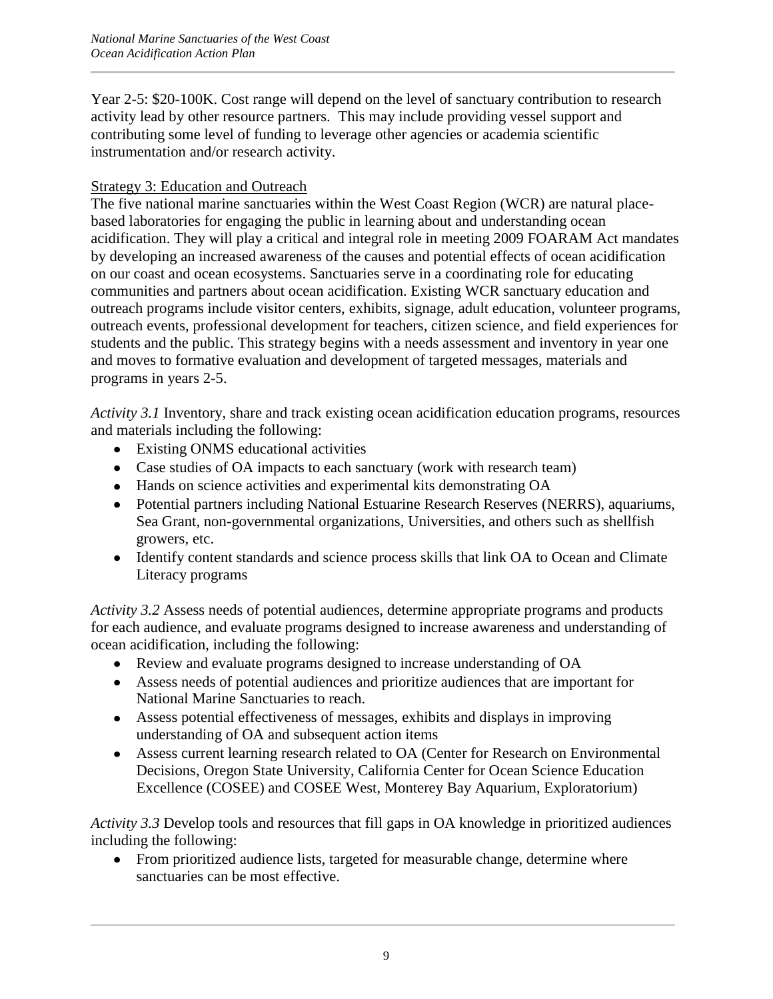Year 2-5: \$20-100K. Cost range will depend on the level of sanctuary contribution to research activity lead by other resource partners. This may include providing vessel support and contributing some level of funding to leverage other agencies or academia scientific instrumentation and/or research activity.

# Strategy 3: Education and Outreach

The five national marine sanctuaries within the West Coast Region (WCR) are natural placebased laboratories for engaging the public in learning about and understanding ocean acidification. They will play a critical and integral role in meeting 2009 FOARAM Act mandates by developing an increased awareness of the causes and potential effects of ocean acidification on our coast and ocean ecosystems. Sanctuaries serve in a coordinating role for educating communities and partners about ocean acidification. Existing WCR sanctuary education and outreach programs include visitor centers, exhibits, signage, adult education, volunteer programs, outreach events, professional development for teachers, citizen science, and field experiences for students and the public. This strategy begins with a needs assessment and inventory in year one and moves to formative evaluation and development of targeted messages, materials and programs in years 2-5.

*Activity 3.1* Inventory, share and track existing ocean acidification education programs, resources and materials including the following:

- Existing ONMS educational activities
- Case studies of OA impacts to each sanctuary (work with research team)
- Hands on science activities and experimental kits demonstrating OA
- Potential partners including National Estuarine Research Reserves (NERRS), aquariums, Sea Grant, non-governmental organizations, Universities, and others such as shellfish growers, etc.
- Identify content standards and science process skills that link OA to Ocean and Climate Literacy programs

*Activity 3.2* Assess needs of potential audiences, determine appropriate programs and products for each audience, and evaluate programs designed to increase awareness and understanding of ocean acidification, including the following:

- Review and evaluate programs designed to increase understanding of OA
- Assess needs of potential audiences and prioritize audiences that are important for National Marine Sanctuaries to reach.
- Assess potential effectiveness of messages, exhibits and displays in improving understanding of OA and subsequent action items
- Assess current learning research related to OA (Center for Research on Environmental Decisions, Oregon State University, California Center for Ocean Science Education Excellence (COSEE) and COSEE West, Monterey Bay Aquarium, Exploratorium)

*Activity 3.3* Develop tools and resources that fill gaps in OA knowledge in prioritized audiences including the following:

• From prioritized audience lists, targeted for measurable change, determine where sanctuaries can be most effective.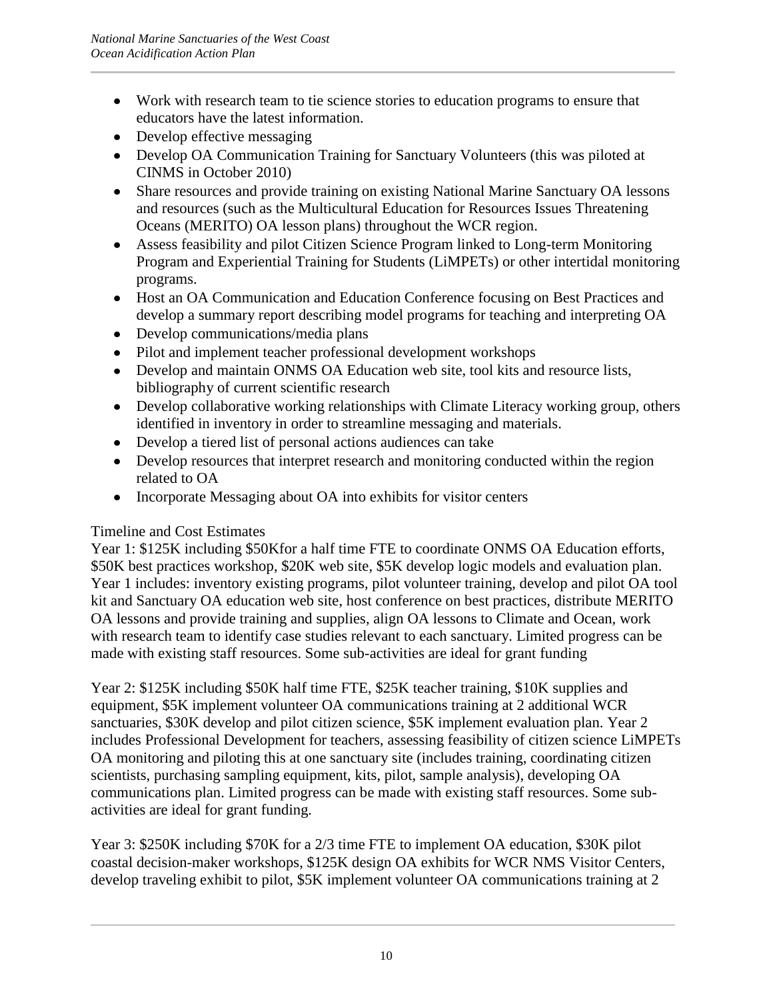- Work with research team to tie science stories to education programs to ensure that educators have the latest information.
- Develop effective messaging
- Develop OA Communication Training for Sanctuary Volunteers (this was piloted at CINMS in October 2010)
- Share resources and provide training on existing National Marine Sanctuary OA lessons and resources (such as the Multicultural Education for Resources Issues Threatening Oceans (MERITO) OA lesson plans) throughout the WCR region.
- Assess feasibility and pilot Citizen Science Program linked to Long-term Monitoring Program and Experiential Training for Students (LiMPETs) or other intertidal monitoring programs.
- Host an OA Communication and Education Conference focusing on Best Practices and develop a summary report describing model programs for teaching and interpreting OA
- Develop communications/media plans
- Pilot and implement teacher professional development workshops
- Develop and maintain ONMS OA Education web site, tool kits and resource lists, bibliography of current scientific research
- Develop collaborative working relationships with Climate Literacy working group, others identified in inventory in order to streamline messaging and materials.
- Develop a tiered list of personal actions audiences can take
- Develop resources that interpret research and monitoring conducted within the region related to OA
- Incorporate Messaging about OA into exhibits for visitor centers

Year 1: \$125K including \$50Kfor a half time FTE to coordinate ONMS OA Education efforts, \$50K best practices workshop, \$20K web site, \$5K develop logic models and evaluation plan. Year 1 includes: inventory existing programs, pilot volunteer training, develop and pilot OA tool kit and Sanctuary OA education web site, host conference on best practices, distribute MERITO OA lessons and provide training and supplies, align OA lessons to Climate and Ocean, work with research team to identify case studies relevant to each sanctuary. Limited progress can be made with existing staff resources. Some sub-activities are ideal for grant funding

Year 2: \$125K including \$50K half time FTE, \$25K teacher training, \$10K supplies and equipment, \$5K implement volunteer OA communications training at 2 additional WCR sanctuaries, \$30K develop and pilot citizen science, \$5K implement evaluation plan. Year 2 includes Professional Development for teachers, assessing feasibility of citizen science LiMPETs OA monitoring and piloting this at one sanctuary site (includes training, coordinating citizen scientists, purchasing sampling equipment, kits, pilot, sample analysis), developing OA communications plan. Limited progress can be made with existing staff resources. Some subactivities are ideal for grant funding.

Year 3: \$250K including \$70K for a 2/3 time FTE to implement OA education, \$30K pilot coastal decision-maker workshops, \$125K design OA exhibits for WCR NMS Visitor Centers, develop traveling exhibit to pilot, \$5K implement volunteer OA communications training at 2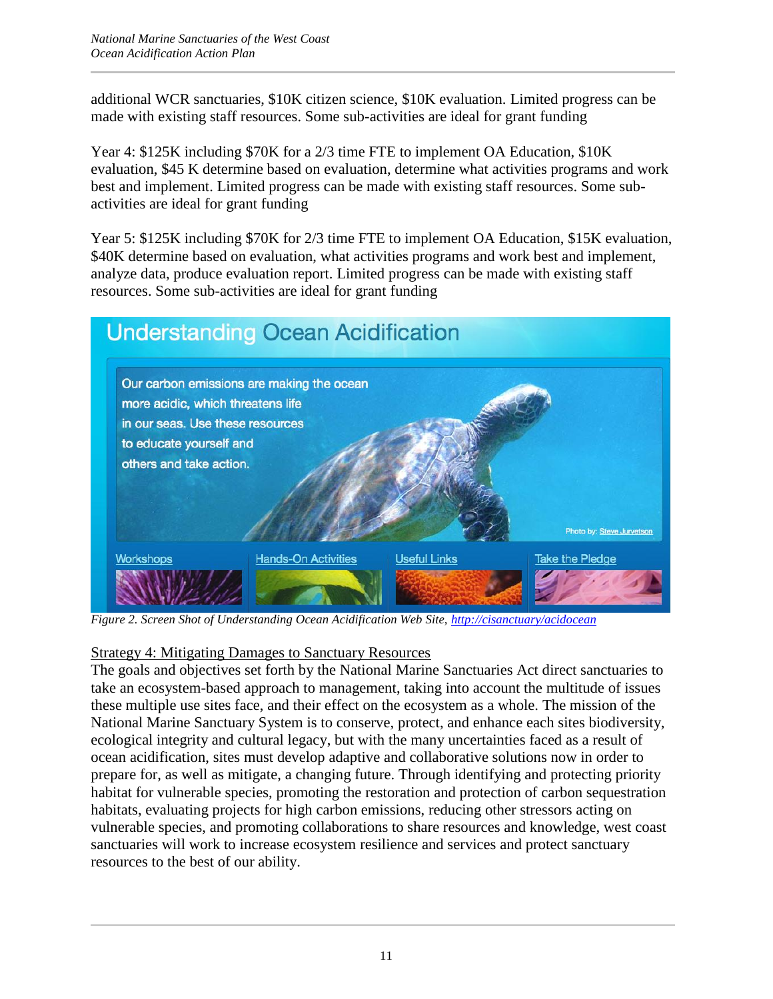additional WCR sanctuaries, \$10K citizen science, \$10K evaluation. Limited progress can be made with existing staff resources. Some sub-activities are ideal for grant funding

Year 4: \$125K including \$70K for a 2/3 time FTE to implement OA Education, \$10K evaluation, \$45 K determine based on evaluation, determine what activities programs and work best and implement. Limited progress can be made with existing staff resources. Some subactivities are ideal for grant funding

Year 5: \$125K including \$70K for 2/3 time FTE to implement OA Education, \$15K evaluation, \$40K determine based on evaluation, what activities programs and work best and implement, analyze data, produce evaluation report. Limited progress can be made with existing staff resources. Some sub-activities are ideal for grant funding



*Figure 2. Screen Shot of Understanding Ocean Acidification Web Site,<http://cisanctuary/acidocean>*

# Strategy 4: Mitigating Damages to Sanctuary Resources

The goals and objectives set forth by the National Marine Sanctuaries Act direct sanctuaries to take an ecosystem-based approach to management, taking into account the multitude of issues these multiple use sites face, and their effect on the ecosystem as a whole. The mission of the National Marine Sanctuary System is to conserve, protect, and enhance each sites biodiversity, ecological integrity and cultural legacy, but with the many uncertainties faced as a result of ocean acidification, sites must develop adaptive and collaborative solutions now in order to prepare for, as well as mitigate, a changing future. Through identifying and protecting priority habitat for vulnerable species, promoting the restoration and protection of carbon sequestration habitats, evaluating projects for high carbon emissions, reducing other stressors acting on vulnerable species, and promoting collaborations to share resources and knowledge, west coast sanctuaries will work to increase ecosystem resilience and services and protect sanctuary resources to the best of our ability.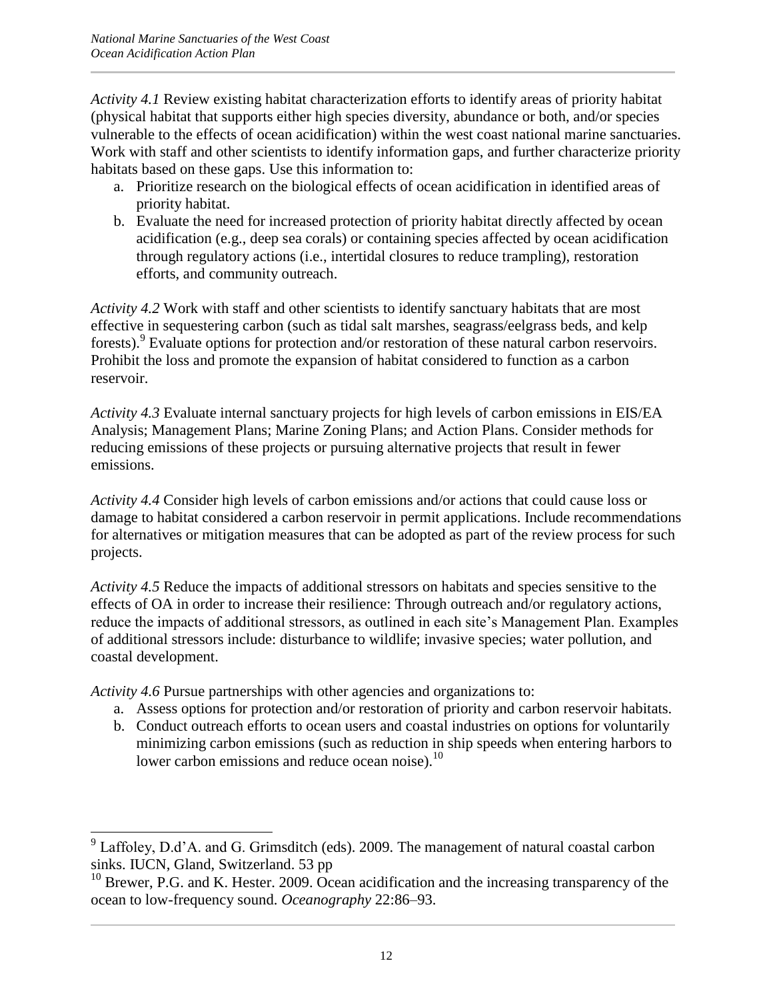*Activity 4.1* Review existing habitat characterization efforts to identify areas of priority habitat (physical habitat that supports either high species diversity, abundance or both, and/or species vulnerable to the effects of ocean acidification) within the west coast national marine sanctuaries. Work with staff and other scientists to identify information gaps, and further characterize priority habitats based on these gaps. Use this information to:

- a. Prioritize research on the biological effects of ocean acidification in identified areas of priority habitat.
- b. Evaluate the need for increased protection of priority habitat directly affected by ocean acidification (e.g., deep sea corals) or containing species affected by ocean acidification through regulatory actions (i.e., intertidal closures to reduce trampling), restoration efforts, and community outreach.

*Activity 4.2* Work with staff and other scientists to identify sanctuary habitats that are most effective in sequestering carbon (such as tidal salt marshes, seagrass/eelgrass beds, and kelp forests).<sup>9</sup> Evaluate options for protection and/or restoration of these natural carbon reservoirs. Prohibit the loss and promote the expansion of habitat considered to function as a carbon reservoir.

*Activity 4.3* Evaluate internal sanctuary projects for high levels of carbon emissions in EIS/EA Analysis; Management Plans; Marine Zoning Plans; and Action Plans. Consider methods for reducing emissions of these projects or pursuing alternative projects that result in fewer emissions.

*Activity 4.4* Consider high levels of carbon emissions and/or actions that could cause loss or damage to habitat considered a carbon reservoir in permit applications. Include recommendations for alternatives or mitigation measures that can be adopted as part of the review process for such projects.

*Activity 4.5* Reduce the impacts of additional stressors on habitats and species sensitive to the effects of OA in order to increase their resilience: Through outreach and/or regulatory actions, reduce the impacts of additional stressors, as outlined in each site's Management Plan. Examples of additional stressors include: disturbance to wildlife; invasive species; water pollution, and coastal development.

*Activity 4.6* Pursue partnerships with other agencies and organizations to:

- a. Assess options for protection and/or restoration of priority and carbon reservoir habitats.
- b. Conduct outreach efforts to ocean users and coastal industries on options for voluntarily minimizing carbon emissions (such as reduction in ship speeds when entering harbors to lower carbon emissions and reduce ocean noise).<sup>10</sup>

 $\overline{\phantom{a}}$  $9^9$  Laffoley, D.d'A. and G. Grimsditch (eds). 2009. The management of natural coastal carbon sinks. IUCN, Gland, Switzerland. 53 pp

 $10$  Brewer, P.G. and K. Hester. 2009. Ocean acidification and the increasing transparency of the ocean to low-frequency sound. *Oceanography* 22:86–93.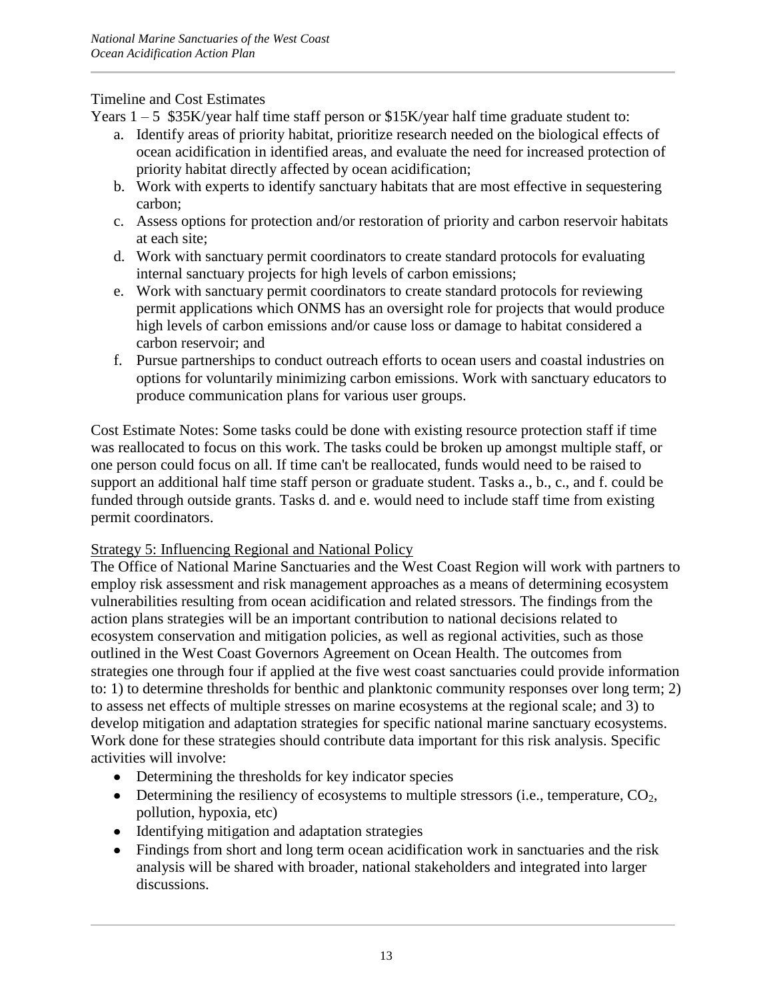Years  $1 - 5$  \$35K/year half time staff person or \$15K/year half time graduate student to:

- a. Identify areas of priority habitat, prioritize research needed on the biological effects of ocean acidification in identified areas, and evaluate the need for increased protection of priority habitat directly affected by ocean acidification;
- b. Work with experts to identify sanctuary habitats that are most effective in sequestering carbon;
- c. Assess options for protection and/or restoration of priority and carbon reservoir habitats at each site;
- d. Work with sanctuary permit coordinators to create standard protocols for evaluating internal sanctuary projects for high levels of carbon emissions;
- e. Work with sanctuary permit coordinators to create standard protocols for reviewing permit applications which ONMS has an oversight role for projects that would produce high levels of carbon emissions and/or cause loss or damage to habitat considered a carbon reservoir; and
- f. Pursue partnerships to conduct outreach efforts to ocean users and coastal industries on options for voluntarily minimizing carbon emissions. Work with sanctuary educators to produce communication plans for various user groups.

Cost Estimate Notes: Some tasks could be done with existing resource protection staff if time was reallocated to focus on this work. The tasks could be broken up amongst multiple staff, or one person could focus on all. If time can't be reallocated, funds would need to be raised to support an additional half time staff person or graduate student. Tasks a., b., c., and f. could be funded through outside grants. Tasks d. and e. would need to include staff time from existing permit coordinators.

## Strategy 5: Influencing Regional and National Policy

The Office of National Marine Sanctuaries and the West Coast Region will work with partners to employ risk assessment and risk management approaches as a means of determining ecosystem vulnerabilities resulting from ocean acidification and related stressors. The findings from the action plans strategies will be an important contribution to national decisions related to ecosystem conservation and mitigation policies, as well as regional activities, such as those outlined in the West Coast Governors Agreement on Ocean Health. The outcomes from strategies one through four if applied at the five west coast sanctuaries could provide information to: 1) to determine thresholds for benthic and planktonic community responses over long term; 2) to assess net effects of multiple stresses on marine ecosystems at the regional scale; and 3) to develop mitigation and adaptation strategies for specific national marine sanctuary ecosystems. Work done for these strategies should contribute data important for this risk analysis. Specific activities will involve:

- Determining the thresholds for key indicator species
- $\bullet$  Determining the resiliency of ecosystems to multiple stressors (i.e., temperature, CO<sub>2</sub>, pollution, hypoxia, etc)
- Identifying mitigation and adaptation strategies
- Findings from short and long term ocean acidification work in sanctuaries and the risk analysis will be shared with broader, national stakeholders and integrated into larger discussions.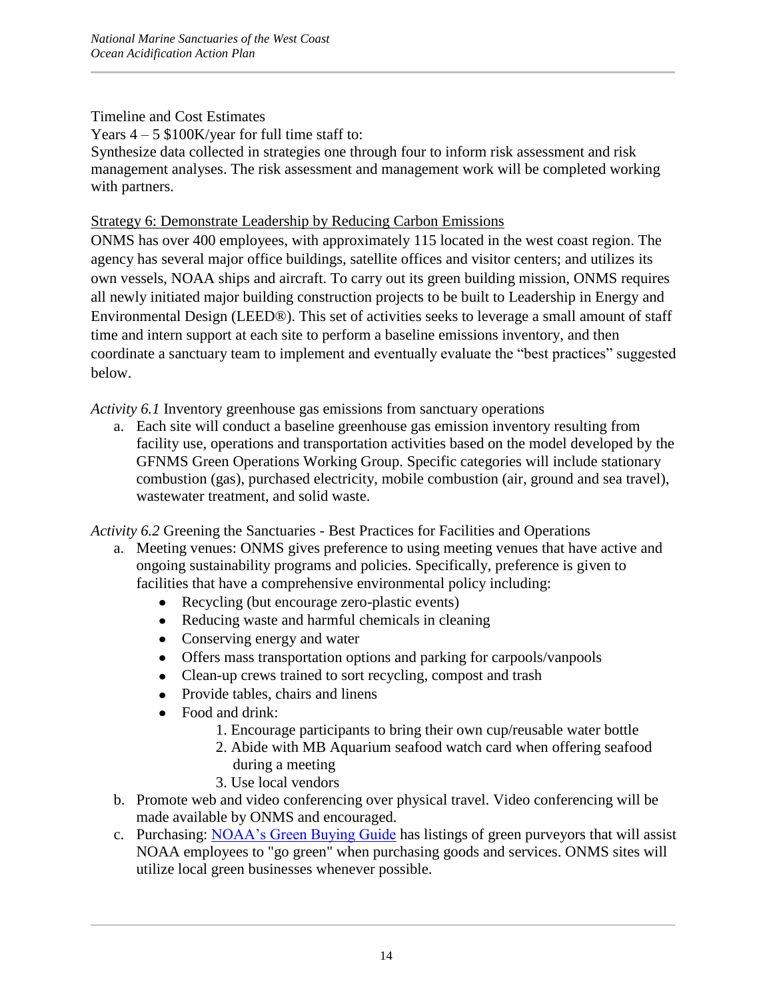Years  $4 - 5$  \$100K/year for full time staff to:

Synthesize data collected in strategies one through four to inform risk assessment and risk management analyses. The risk assessment and management work will be completed working with partners.

# Strategy 6: Demonstrate Leadership by Reducing Carbon Emissions

ONMS has over 400 employees, with approximately 115 located in the west coast region. The agency has several major office buildings, satellite offices and visitor centers; and utilizes its own vessels, NOAA ships and aircraft. To carry out its green building mission, ONMS requires all newly initiated major building construction projects to be built to Leadership in Energy and Environmental Design (LEED®). This set of activities seeks to leverage a small amount of staff time and intern support at each site to perform a baseline emissions inventory, and then coordinate a sanctuary team to implement and eventually evaluate the "best practices" suggested below.

*Activity 6.1* Inventory greenhouse gas emissions from sanctuary operations

a. Each site will conduct a baseline greenhouse gas emission inventory resulting from facility use, operations and transportation activities based on the model developed by the GFNMS Green Operations Working Group. Specific categories will include stationary combustion (gas), purchased electricity, mobile combustion (air, ground and sea travel), wastewater treatment, and solid waste.

*Activity 6.2* Greening the Sanctuaries - Best Practices for Facilities and Operations

- a. Meeting venues: ONMS gives preference to using meeting venues that have active and ongoing sustainability programs and policies. Specifically, preference is given to facilities that have a comprehensive environmental policy including:
	- Recycling (but encourage zero-plastic events)
	- Reducing waste and harmful chemicals in cleaning
	- Conserving energy and water
	- Offers mass transportation options and parking for carpools/vanpools
	- Clean-up crews trained to sort recycling, compost and trash
	- Provide tables, chairs and linens
	- Food and drink:
		- 1. Encourage participants to bring their own cup/reusable water bottle
		- 2. Abide with MB Aquarium seafood watch card when offering seafood during a meeting
		- 3. Use local vendors
- b. Promote web and video conferencing over physical travel. Video conferencing will be made available by ONMS and encouraged.
- c. Purchasing: NOAA's Green Buying Guide has listings of green purveyors that will assist NOAA employees to "go green" when purchasing goods and services. ONMS sites will utilize local green businesses whenever possible.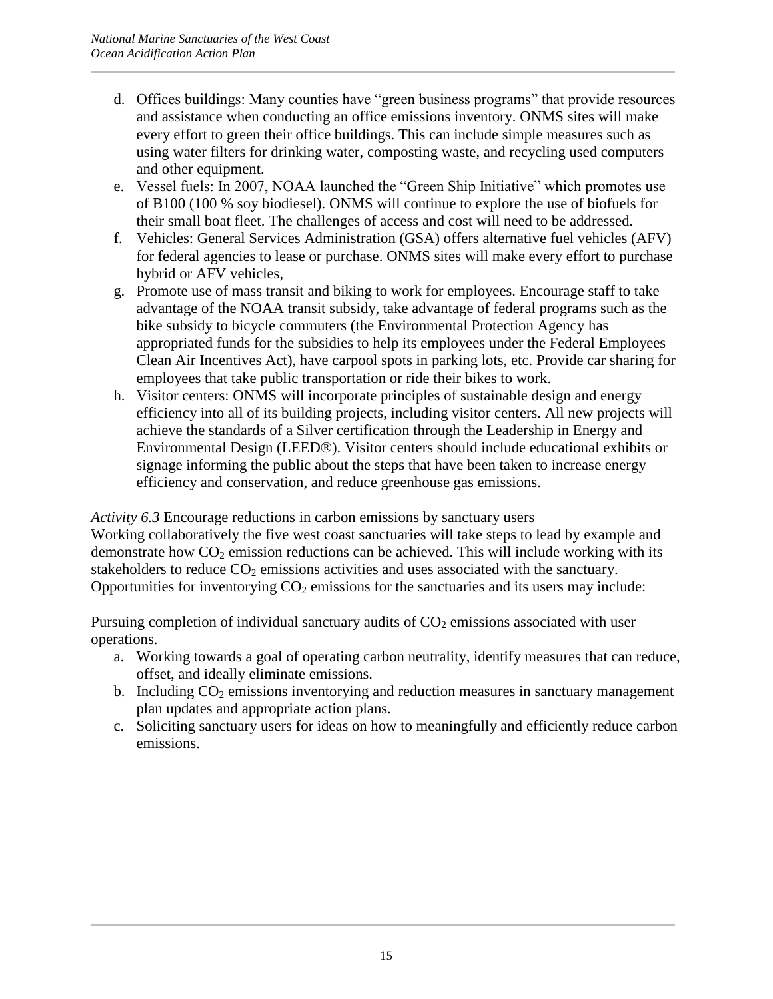- d. Offices buildings: Many counties have "green business programs" that provide resources and assistance when conducting an office emissions inventory. ONMS sites will make every effort to green their office buildings. This can include simple measures such as using water filters for drinking water, composting waste, and recycling used computers and other equipment.
- e. Vessel fuels: In 2007, NOAA launched the "Green Ship Initiative" which promotes use of B100 (100 % soy biodiesel). ONMS will continue to explore the use of biofuels for their small boat fleet. The challenges of access and cost will need to be addressed.
- f. Vehicles: General Services Administration (GSA) offers alternative fuel vehicles (AFV) for federal agencies to lease or purchase. ONMS sites will make every effort to purchase hybrid or AFV vehicles,
- g. Promote use of mass transit and biking to work for employees. Encourage staff to take advantage of the NOAA transit subsidy, take advantage of federal programs such as the bike subsidy to bicycle commuters (the Environmental Protection Agency has appropriated funds for the subsidies to help its employees under the Federal Employees Clean Air Incentives Act), have carpool spots in parking lots, etc. Provide car sharing for employees that take public transportation or ride their bikes to work.
- h. Visitor centers: ONMS will incorporate principles of sustainable design and energy efficiency into all of its building projects, including visitor centers. All new projects will achieve the standards of a Silver certification through the Leadership in Energy and Environmental Design (LEED®). Visitor centers should include educational exhibits or signage informing the public about the steps that have been taken to increase energy efficiency and conservation, and reduce greenhouse gas emissions.

*Activity 6.3* Encourage reductions in carbon emissions by sanctuary users Working collaboratively the five west coast sanctuaries will take steps to lead by example and demonstrate how  $CO<sub>2</sub>$  emission reductions can be achieved. This will include working with its stakeholders to reduce  $CO<sub>2</sub>$  emissions activities and uses associated with the sanctuary. Opportunities for inventorying  $CO<sub>2</sub>$  emissions for the sanctuaries and its users may include:

Pursuing completion of individual sanctuary audits of  $CO<sub>2</sub>$  emissions associated with user operations.

- a. Working towards a goal of operating carbon neutrality, identify measures that can reduce, offset, and ideally eliminate emissions.
- b. Including  $CO<sub>2</sub>$  emissions inventorying and reduction measures in sanctuary management plan updates and appropriate action plans.
- c. Soliciting sanctuary users for ideas on how to meaningfully and efficiently reduce carbon emissions.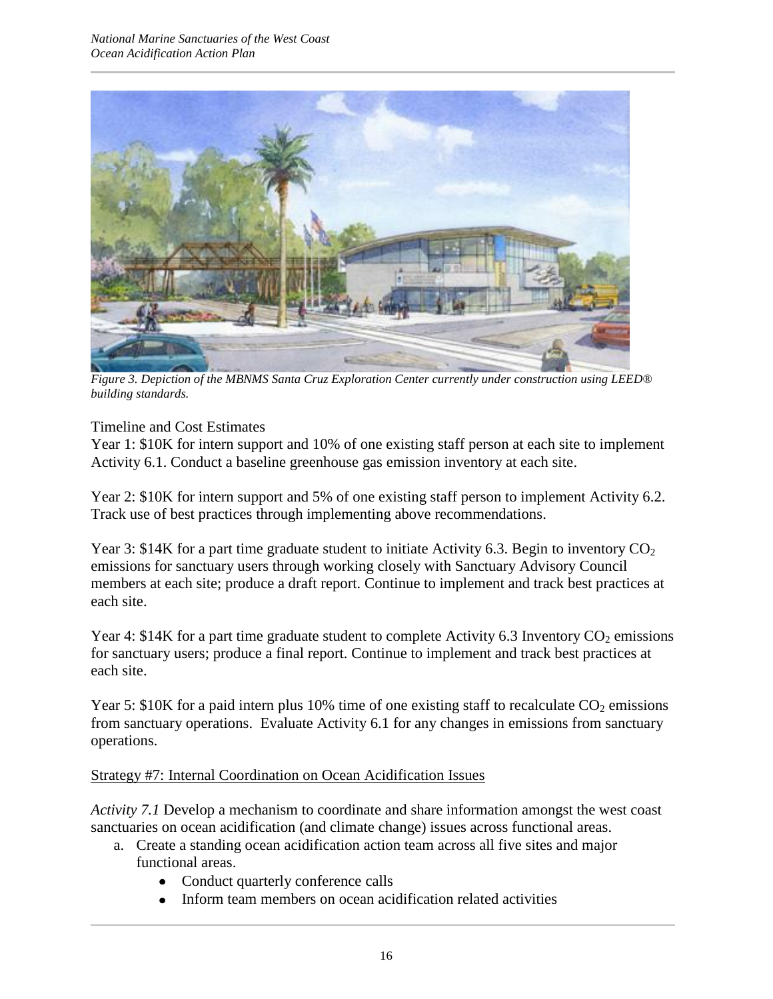

*Figure 3. Depiction of the MBNMS Santa Cruz Exploration Center currently under construction using LEED® building standards.*

Year 1: \$10K for intern support and 10% of one existing staff person at each site to implement Activity 6.1. Conduct a baseline greenhouse gas emission inventory at each site.

Year 2: \$10K for intern support and 5% of one existing staff person to implement Activity 6.2. Track use of best practices through implementing above recommendations.

Year 3: \$14K for a part time graduate student to initiate Activity 6.3. Begin to inventory  $CO<sub>2</sub>$ emissions for sanctuary users through working closely with Sanctuary Advisory Council members at each site; produce a draft report. Continue to implement and track best practices at each site.

Year 4: \$14K for a part time graduate student to complete Activity 6.3 Inventory  $CO_2$  emissions for sanctuary users; produce a final report. Continue to implement and track best practices at each site.

Year 5: \$10K for a paid intern plus 10% time of one existing staff to recalculate  $CO<sub>2</sub>$  emissions from sanctuary operations. Evaluate Activity 6.1 for any changes in emissions from sanctuary operations.

## Strategy #7: Internal Coordination on Ocean Acidification Issues

*Activity 7.1* Develop a mechanism to coordinate and share information amongst the west coast sanctuaries on ocean acidification (and climate change) issues across functional areas.

- a. Create a standing ocean acidification action team across all five sites and major functional areas.
	- Conduct quarterly conference calls
	- Inform team members on ocean acidification related activities $\bullet$